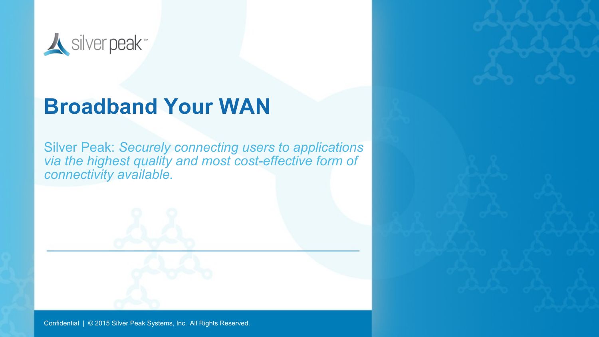

## **Broadband Your WAN**

Silver Peak: *Securely connecting users to applications via the highest quality and most cost-effective form of connectivity available.*

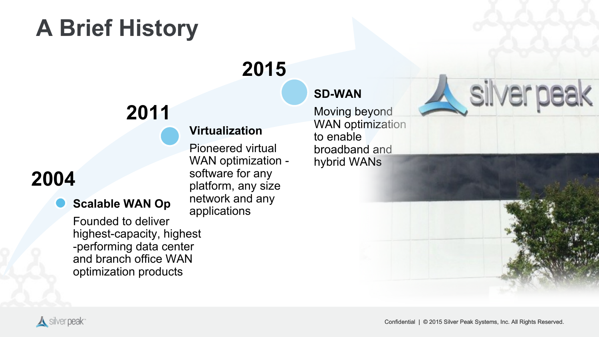## **A Brief History**

## **2015**

## **2011**

### **2004**

#### **Scalable WAN Op**

Founded to deliver highest-capacity, highest -performing data center and branch office WAN optimization products

#### **Virtualization**

Pioneered virtual WAN optimization software for any platform, any size network and any applications

#### **SD-WAN**

Moving beyond WAN optimization to enable broadband and hybrid WANs

# silver peak

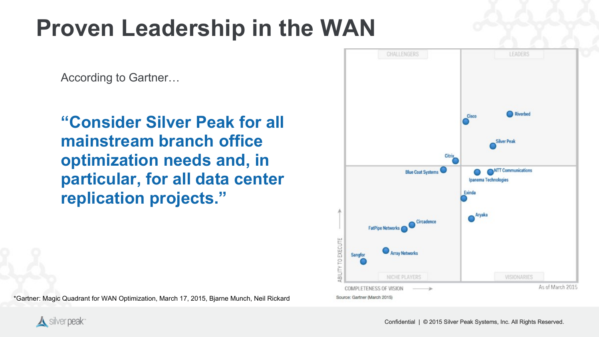## **Proven Leadership in the WAN**

According to Gartner…

**"Consider Silver Peak for all mainstream branch office optimization needs and, in particular, for all data center replication projects."**



\*Gartner: Magic Quadrant for WAN Optimization, March 17, 2015, Bjarne Munch, Neil Rickard

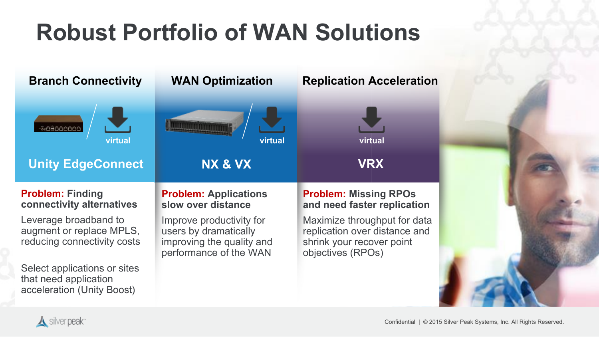## **Robust Portfolio of WAN Solutions**

| <b>Branch Connectivity</b>                                                          | <b>WAN Optimization</b>                                                                                  | <b>Replication Acceleration</b>                                                                                 |  |
|-------------------------------------------------------------------------------------|----------------------------------------------------------------------------------------------------------|-----------------------------------------------------------------------------------------------------------------|--|
| <u>LöAööööö</u><br>virtual                                                          | virtual                                                                                                  | virtual                                                                                                         |  |
| <b>Unity EdgeConnect</b>                                                            | NX & VX                                                                                                  | <b>VRX</b>                                                                                                      |  |
| <b>Problem: Finding</b><br>connectivity alternatives                                | <b>Problem: Applications</b><br>slow over distance                                                       | <b>Problem: Missing RPOs</b><br>and need faster replication                                                     |  |
| Leverage broadband to<br>augment or replace MPLS,<br>reducing connectivity costs    | Improve productivity for<br>users by dramatically<br>improving the quality and<br>performance of the WAN | Maximize throughput for data<br>replication over distance and<br>shrink your recover point<br>objectives (RPOs) |  |
| Select applications or sites<br>that need application<br>acceleration (Unity Boost) |                                                                                                          |                                                                                                                 |  |

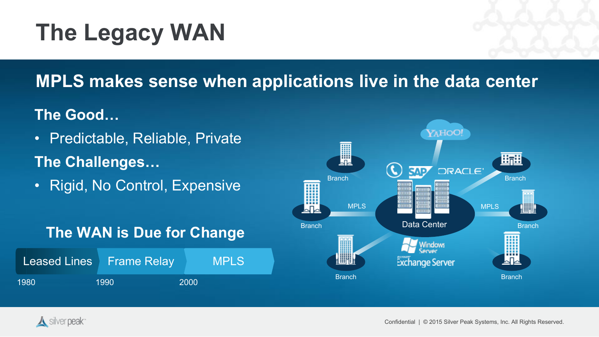## **The Legacy WAN**

### **MPLS makes sense when applications live in the data center**

#### **The Good…**

- Predictable, Reliable, Private **The Challenges…**
- Rigid, No Control, Expensive

#### **The WAN is Due for Change**

|      | Leased Lines Frame Relay |      | <b>IMPLS</b> |
|------|--------------------------|------|--------------|
| 1980 | 1990                     | 2000 |              |



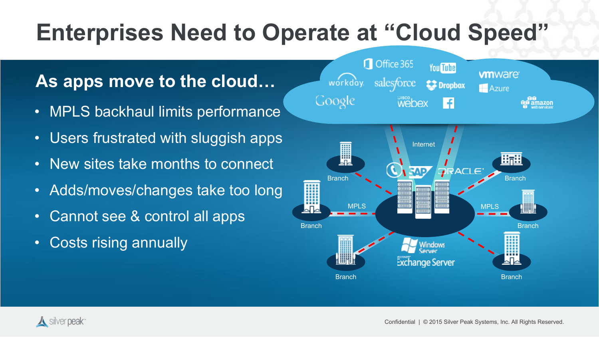## **Enterprises Need to Operate at "Cloud Speed"**

### **As apps move to the cloud…**

- MPLS backhaul limits performance
- Users frustrated with sluggish apps
- New sites take months to connect
- Adds/moves/changes take too long
- Cannot see & control all apps
- Costs rising annually



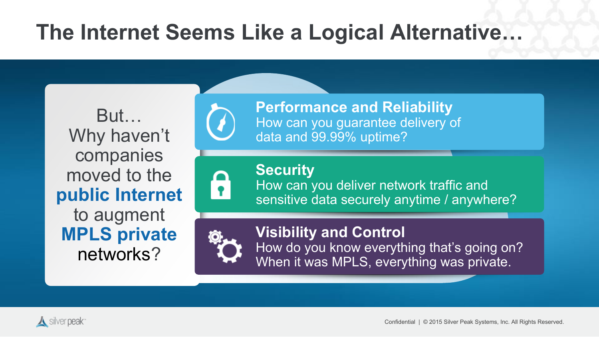## **The Internet Seems Like a Logical Alternative…**

But… Why haven't companies moved to the **public Internet**  to augment **MPLS private**  networks?

**Performance and Reliability** How can you guarantee delivery of data and 99.99% uptime?

6

 $\left(\ell\right)$ 

**Security** How can you deliver network traffic and sensitive data securely anytime / anywhere?



**Visibility and Control** 

How do you know everything that's going on? When it was MPLS, everything was private.

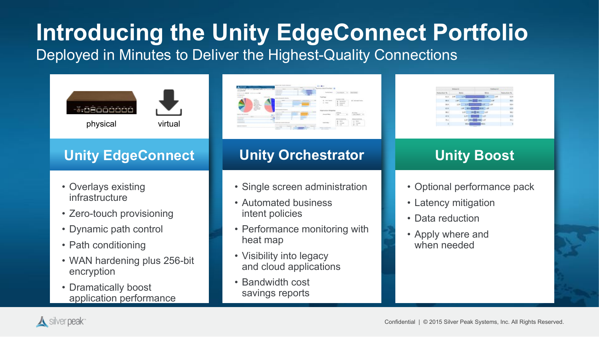## **Introducing the Unity EdgeConnect Portfolio**

Deployed in Minutes to Deliver the Highest-Quality Connections







#### **Unity EdgeConnect**

- Overlays existing infrastructure
- Zero-touch provisioning
- Dynamic path control
- Path conditioning
- WAN hardening plus 256-bit encryption
- Dramatically boost application performance



#### **Unity Orchestrator**

- Single screen administration
- Automated business intent policies
- Performance monitoring with heat map
- Visibility into legacy and cloud applications
- Bandwidth cost savings reports



#### **Unity Boost**

- Optional performance pack
- Latency mitigation
- Data reduction
- Apply where and when needed

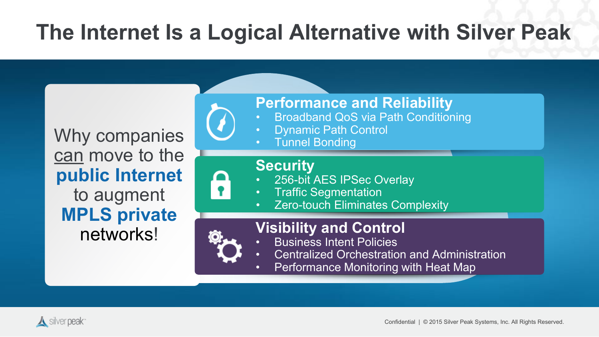## **The Internet Is a Logical Alternative with Silver Peak**

Why companies can move to the **public Internet**  to augment **MPLS private**  networks!

**Performance and Reliability**

- Broadband QoS via Path Conditioning
- Dynamic Path Control
	- **Tunnel Bonding**

#### **Security**

- 256-bit AES IPSec Overlay
- Traffic Segmentation
- Zero-touch Eliminates Complexity



#### **Visibility and Control**

- Business Intent Policies
- Centralized Orchestration and Administration
- Performance Monitoring with Heat Map

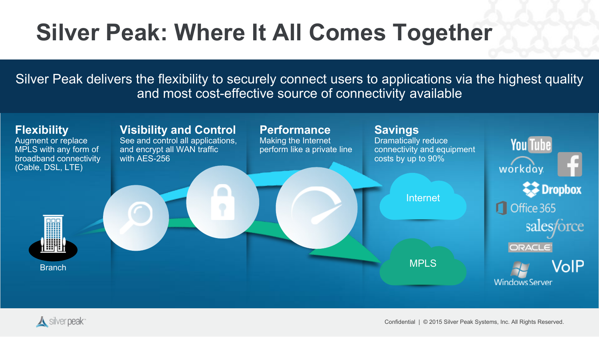## **Silver Peak: Where It All Comes Together**

Silver Peak delivers the flexibility to securely connect users to applications via the highest quality and most cost-effective source of connectivity available



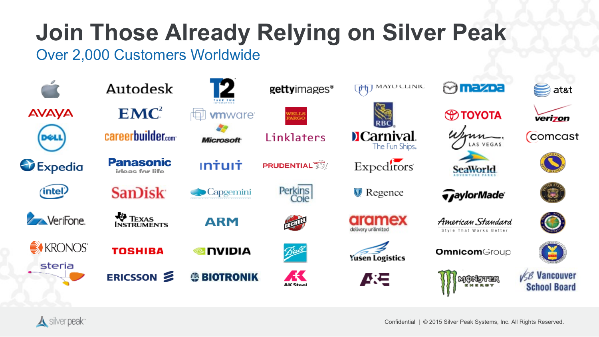#### 9& 6  $\frac{1}{2}$  $\#$  $\geq$  $\int$  $\overline{a}$  $\overline{1}$  $\sim$   $+$

 $\mathbf{I}$